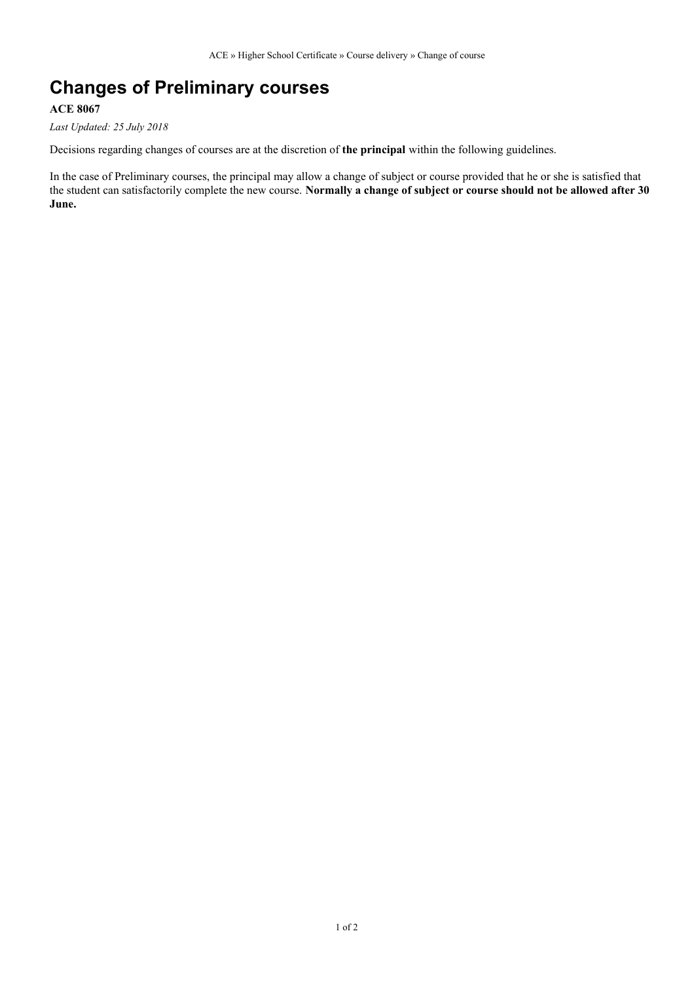## **Changes of Preliminary courses**

## **ACE 8067**

*Last Updated: 25 July 2018*

Decisions regarding changes of courses are at the discretion of **the principal** within the following guidelines.

In the case of Preliminary courses, the principal may allow a change of subject or course provided that he or she is satisfied that the student can satisfactorily complete the new course. **Normally a change of subject or course should not be allowed after 30 June.**